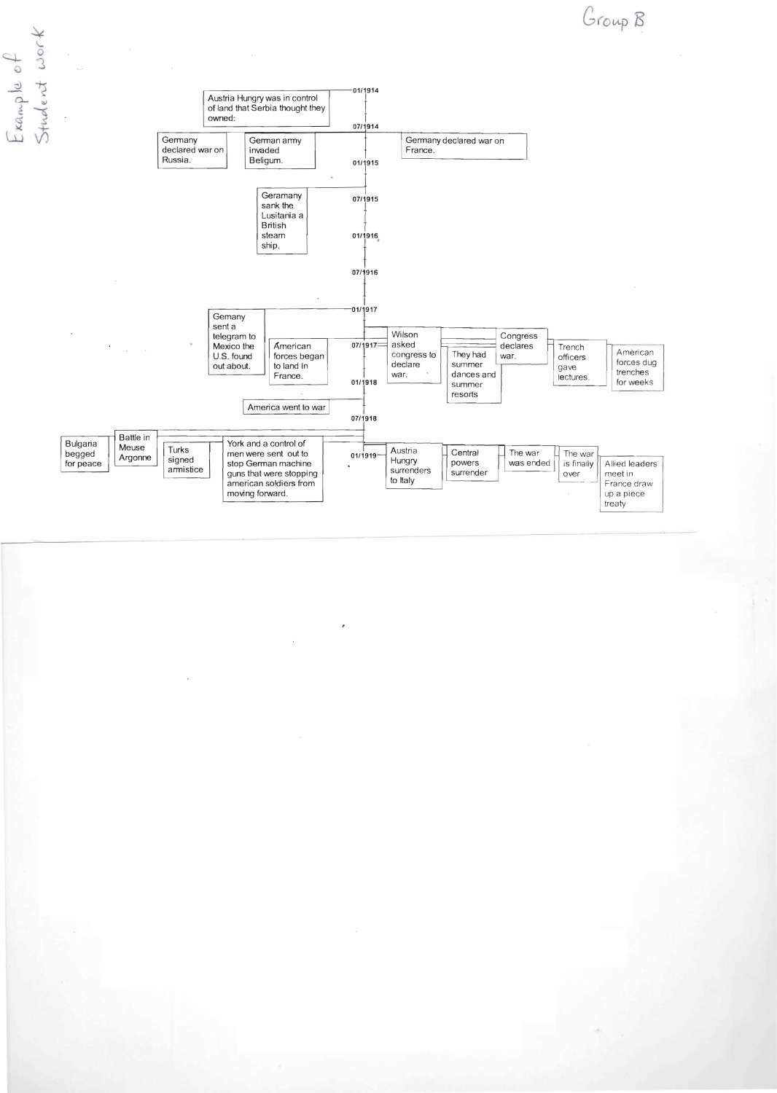